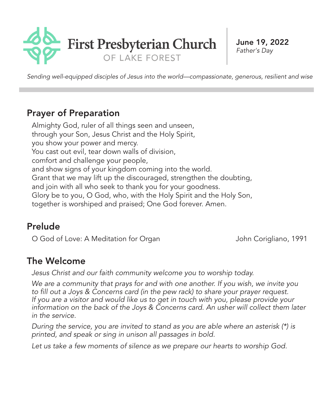

June 19, 2022 *Father's Day*

*Sending well-equipped disciples of Jesus into the world—compassionate, generous, resilient and wise*

## Prayer of Preparation

Almighty God, ruler of all things seen and unseen, through your Son, Jesus Christ and the Holy Spirit, you show your power and mercy. You cast out evil, tear down walls of division, comfort and challenge your people, and show signs of your kingdom coming into the world. Grant that we may lift up the discouraged, strengthen the doubting, and join with all who seek to thank you for your goodness. Glory be to you, O God, who, with the Holy Spirit and the Holy Son, together is worshiped and praised; One God forever. Amen.

## Prelude

O God of Love: A Meditation for Organ John Corigliano, 1991

## The Welcome

*Jesus Christ and our faith community welcome you to worship today.*

*We are a community that prays for and with one another. If you wish, we invite you to fill out a Joys & Concerns card (in the pew rack) to share your prayer request. If you are a visitor and would like us to get in touch with you, please provide your information on the back of the Joys & Concerns card. An usher will collect them later in the service.*

*During the service, you are invited to stand as you are able where an asterisk (\*) is printed, and speak or sing in unison all passages in bold.*

*Let us take a few moments of silence as we prepare our hearts to worship God.*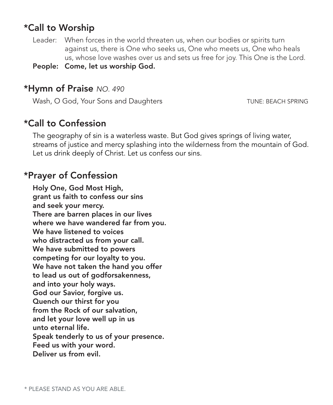## \*Call to Worship

Leader: When forces in the world threaten us, when our bodies or spirits turn against us, there is One who seeks us, One who meets us, One who heals us, whose love washes over us and sets us free for joy. This One is the Lord.

People: Come, let us worship God.

### \*Hymn of Praise *NO. 490*

Wash, O God, Your Sons and Daughters TUNE: BEACH SPRING

## \*Call to Confession

The geography of sin is a waterless waste. But God gives springs of living water, streams of justice and mercy splashing into the wilderness from the mountain of God. Let us drink deeply of Christ. Let us confess our sins.

## \*Prayer of Confession

Holy One, God Most High, grant us faith to confess our sins and seek your mercy. There are barren places in our lives where we have wandered far from you. We have listened to voices who distracted us from your call. We have submitted to powers competing for our loyalty to you. We have not taken the hand you offer to lead us out of godforsakenness, and into your holy ways. God our Savior, forgive us. Quench our thirst for you from the Rock of our salvation, and let your love well up in us unto eternal life. Speak tenderly to us of your presence. Feed us with your word. Deliver us from evil.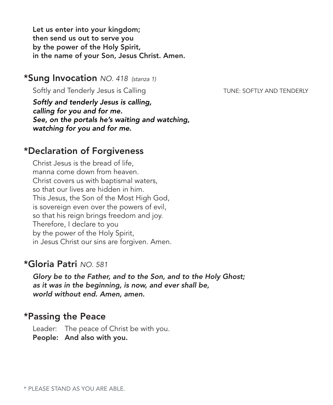Let us enter into your kingdom; then send us out to serve you by the power of the Holy Spirit, in the name of your Son, Jesus Christ. Amen.

#### \*Sung Invocation *NO. 418 (stanza 1)*

Softly and Tenderly Jesus is Calling TENDERLY AND TENDERLY

*Softly and tenderly Jesus is calling, calling for you and for me. See, on the portals he's waiting and watching, watching for you and for me.*

#### \*Declaration of Forgiveness

Christ Jesus is the bread of life, manna come down from heaven. Christ covers us with baptismal waters, so that our lives are hidden in him. This Jesus, the Son of the Most High God, is sovereign even over the powers of evil, so that his reign brings freedom and joy. Therefore, I declare to you by the power of the Holy Spirit, in Jesus Christ our sins are forgiven. Amen.

#### \*Gloria Patri *NO. 581*

*Glory be to the Father, and to the Son, and to the Holy Ghost; as it was in the beginning, is now, and ever shall be, world without end. Amen, amen.*

#### \*Passing the Peace

Leader: The peace of Christ be with you. People: And also with you.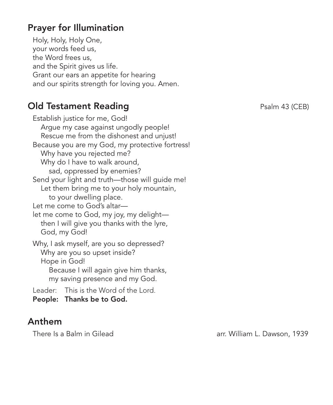## Prayer for Illumination

Holy, Holy, Holy One, your words feed us, the Word frees us, and the Spirit gives us life. Grant our ears an appetite for hearing and our spirits strength for loving you. Amen.

## **Old Testament Reading Case Control** Psalm 43 (CEB)

Establish justice for me, God! Argue my case against ungodly people! Rescue me from the dishonest and unjust! Because you are my God, my protective fortress! Why have you rejected me? Why do I have to walk around, sad, oppressed by enemies? Send your light and truth—those will guide me! Let them bring me to your holy mountain, to your dwelling place. Let me come to God's altar let me come to God, my joy, my delight then I will give you thanks with the lyre, God, my God! Why, I ask myself, are you so depressed? Why are you so upset inside? Hope in God! Because I will again give him thanks, my saving presence and my God. Leader: This is the Word of the Lord. People: Thanks be to God.

### Anthem

There Is a Balm in Gilead and arr. William L. Dawson, 1939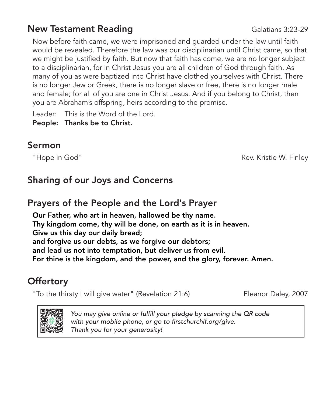## **New Testament Reading Calations 3:23-29**

Now before faith came, we were imprisoned and guarded under the law until faith would be revealed. Therefore the law was our disciplinarian until Christ came, so that we might be justified by faith. But now that faith has come, we are no longer subject to a disciplinarian, for in Christ Jesus you are all children of God through faith. As many of you as were baptized into Christ have clothed yourselves with Christ. There is no longer Jew or Greek, there is no longer slave or free, there is no longer male and female; for all of you are one in Christ Jesus. And if you belong to Christ, then you are Abraham's offspring, heirs according to the promise.

Leader: This is the Word of the Lord. People: Thanks be to Christ.

### Sermon

"Hope in God" **Rev. Kristie W. Finley** Rev. Kristie W. Finley

# Sharing of our Joys and Concerns

## Prayers of the People and the Lord's Prayer

Our Father, who art in heaven, hallowed be thy name. Thy kingdom come, thy will be done, on earth as it is in heaven. Give us this day our daily bread; and forgive us our debts, as we forgive our debtors; and lead us not into temptation, but deliver us from evil. For thine is the kingdom, and the power, and the glory, forever. Amen.

# **Offertory**

"To the thirsty I will give water" (Revelation 21:6) Eleanor Daley, 2007



*You may give online or fulfill your pledge by scanning the QR code with your mobile phone, or go to firstchurchlf.org/give. Thank you for your generosity!*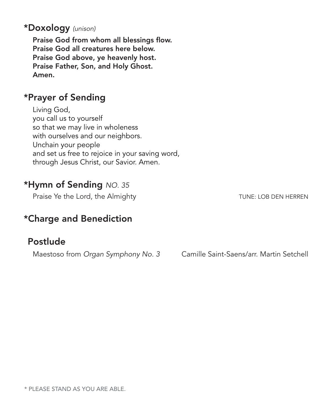#### \*Doxology *(unison)*

Praise God from whom all blessings flow. Praise God all creatures here below. Praise God above, ye heavenly host. Praise Father, Son, and Holy Ghost. Amen.

### \*Prayer of Sending

Living God, you call us to yourself so that we may live in wholeness with ourselves and our neighbors. Unchain your people and set us free to rejoice in your saving word, through Jesus Christ, our Savior. Amen.

## \*Hymn of Sending *NO. 35*

Praise Ye the Lord, the Almighty TUNE: LOB DEN HERREN

# \*Charge and Benediction

## Postlude

Maestoso from *Organ Symphony No. 3* Camille Saint-Saens/arr. Martin Setchell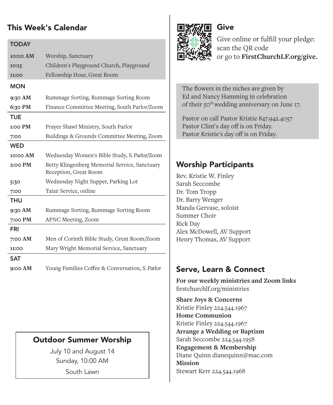#### This Week's Calendar

| <b>TODAY</b> |                                                                        |
|--------------|------------------------------------------------------------------------|
| 10:00 AM     | Worship, Sanctuary                                                     |
| 10:15        | Children's Playground Church, Playground                               |
| 11:00        | Fellowship Hour, Great Room                                            |
| <b>MON</b>   |                                                                        |
| 9:30 AM      | Rummage Sorting, Rummage Sorting Room                                  |
| 6:30 PM      | Finance Committee Meeting, South Parlor/Zoom                           |
| TUE          |                                                                        |
| $1:OO$ PM    | Prayer Shawl Ministry, South Parlor                                    |
| 7:00         | Buildings & Grounds Committee Meeting, Zoom                            |
| <b>WED</b>   |                                                                        |
| 10:00 AM     | Wednesday Women's Bible Study, S. Parlor/Zoom                          |
| $2:00$ PM    | Betty Klingenberg Memorial Service, Sanctuary<br>Reception, Great Room |
| 5:30         | Wednesday Night Supper, Parking Lot                                    |
| 7:00         | Taizé Service, online                                                  |
| THU          |                                                                        |
| 9:30 AM      | Rummage Sorting, Rummage Sorting Room                                  |
| 7:00 PM      | APNC Meeting, Zoom                                                     |
| FRI          |                                                                        |
| 7:00 AM      | Men of Corinth Bible Study, Great Room/Zoom                            |
| 11:00        | Mary Wright Memorial Service, Sanctuary                                |
| <b>SAT</b>   |                                                                        |
| 9:00 AM      | Young Families Coffee & Conversation, S. Parlor                        |

## Outdoor Summer Worship

July 10 and August 14 Sunday, 10:00 AM South Lawn



Give online or fulfill your pledge: scan the QR code or go to **FirstChurchLF.org/give.**

The flowers in the niches are given by Ed and Nancy Hamming in celebration of their 50<sup>th</sup> wedding anniversary on June 17.

Give

Pastor on call Pastor Kristie 847.942.4057 Pastor Clint's day off is on Friday. Pastor Kristie's day off is on Friday.

#### Worship Participants

Rev. Kristie W. Finley Sarah Seccombe Dr. Tom Tropp Dr. Barry Wenger Manda Gervase, soloist Summer Choir Rick Day Alex McDowell, AV Support Henry Thomas, AV Support

### Serve, Learn & Connect

**For our weekly ministries and Zoom links** firstchurchlf.org/ministries

**Share Joys & Concerns**  Kristie Finley 224.544.1967 **Home Communion** Kristie Finley 224.544.1967 **Arrange a Wedding or Baptism**  Sarah Seccombe 224.544.1958 **Engagement & Membership** Diane Quinn dianequinn@mac.com **Mission** Stewart Kerr 224.544.1968